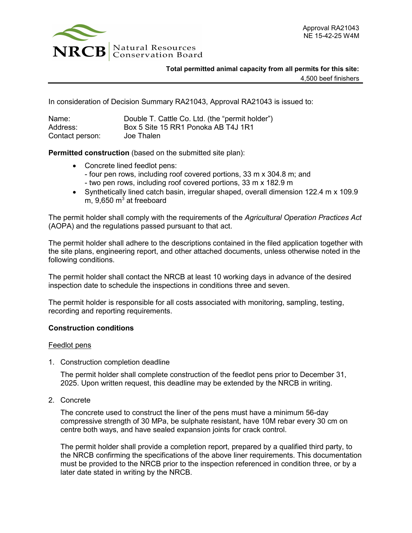

**Total permitted animal capacity from all permits for this site:**

4,500 beef finishers

In consideration of Decision Summary RA21043, Approval RA21043 is issued to:

| Name:           | Double T. Cattle Co. Ltd. (the "permit holder") |
|-----------------|-------------------------------------------------|
| Address:        | Box 5 Site 15 RR1 Ponoka AB T4J 1R1             |
| Contact person: | Joe Thalen                                      |

**Permitted construction** (based on the submitted site plan):

- Concrete lined feedlot pens: - four pen rows, including roof covered portions, 33 m x 304.8 m; and - two pen rows, including roof covered portions, 33 m x 182.9 m
- Synthetically lined catch basin, irregular shaped, overall dimension 122.4 m x 109.9 m,  $9,650 \text{ m}^3$  at freeboard

The permit holder shall comply with the requirements of the *Agricultural Operation Practices Act* (AOPA) and the regulations passed pursuant to that act.

The permit holder shall adhere to the descriptions contained in the filed application together with the site plans, engineering report, and other attached documents, unless otherwise noted in the following conditions.

The permit holder shall contact the NRCB at least 10 working days in advance of the desired inspection date to schedule the inspections in conditions three and seven.

The permit holder is responsible for all costs associated with monitoring, sampling, testing, recording and reporting requirements.

# **Construction conditions**

### Feedlot pens

1. Construction completion deadline

The permit holder shall complete construction of the feedlot pens prior to December 31, 2025. Upon written request, this deadline may be extended by the NRCB in writing.

2. Concrete

The concrete used to construct the liner of the pens must have a minimum 56-day compressive strength of 30 MPa, be sulphate resistant, have 10M rebar every 30 cm on centre both ways, and have sealed expansion joints for crack control.

The permit holder shall provide a completion report, prepared by a qualified third party, to the NRCB confirming the specifications of the above liner requirements. This documentation must be provided to the NRCB prior to the inspection referenced in condition three, or by a later date stated in writing by the NRCB.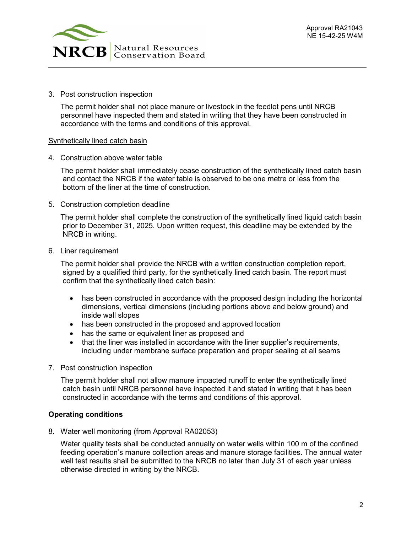

3. Post construction inspection

The permit holder shall not place manure or livestock in the feedlot pens until NRCB personnel have inspected them and stated in writing that they have been constructed in accordance with the terms and conditions of this approval.

## Synthetically lined catch basin

4. Construction above water table

The permit holder shall immediately cease construction of the synthetically lined catch basin and contact the NRCB if the water table is observed to be one metre or less from the bottom of the liner at the time of construction.

5. Construction completion deadline

The permit holder shall complete the construction of the synthetically lined liquid catch basin prior to December 31, 2025. Upon written request, this deadline may be extended by the NRCB in writing.

6. Liner requirement

The permit holder shall provide the NRCB with a written construction completion report, signed by a qualified third party, for the synthetically lined catch basin. The report must confirm that the synthetically lined catch basin:

- has been constructed in accordance with the proposed design including the horizontal dimensions, vertical dimensions (including portions above and below ground) and inside wall slopes
- has been constructed in the proposed and approved location
- has the same or equivalent liner as proposed and
- that the liner was installed in accordance with the liner supplier's requirements, including under membrane surface preparation and proper sealing at all seams
- 7. Post construction inspection

The permit holder shall not allow manure impacted runoff to enter the synthetically lined catch basin until NRCB personnel have inspected it and stated in writing that it has been constructed in accordance with the terms and conditions of this approval.

### **Operating conditions**

8. Water well monitoring (from Approval RA02053)

Water quality tests shall be conducted annually on water wells within 100 m of the confined feeding operation's manure collection areas and manure storage facilities. The annual water well test results shall be submitted to the NRCB no later than July 31 of each year unless otherwise directed in writing by the NRCB.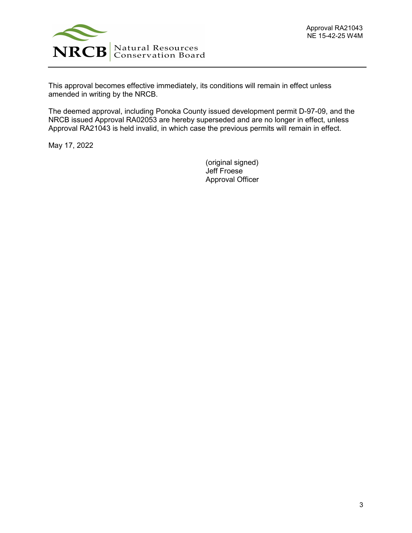

This approval becomes effective immediately, its conditions will remain in effect unless amended in writing by the NRCB.

The deemed approval, including Ponoka County issued development permit D-97-09, and the NRCB issued Approval RA02053 are hereby superseded and are no longer in effect, unless Approval RA21043 is held invalid, in which case the previous permits will remain in effect.

May 17, 2022

(original signed) Jeff Froese Approval Officer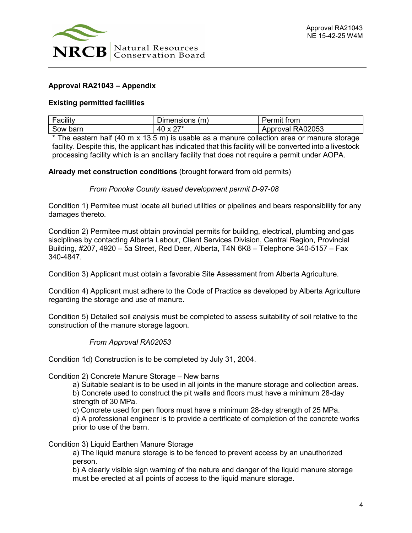

# **Approval RA21043 – Appendix**

## **Existing permitted facilities**

| $\overline{\phantom{0}}$<br><br>acility | -<br>'m.<br>.<br>Jir<br>1810<br>ner<br>115 | $+$ $ -$<br>UH                                                         |
|-----------------------------------------|--------------------------------------------|------------------------------------------------------------------------|
| Sow barr                                | $\sim -1$<br>$\Delta$                      | )2053<br>AU.<br>הורהי<br>л<br>$\overline{\mathbf{v}}$<br>៶⊾<br>۰.<br>v |

\* The eastern half (40 m x 13.5 m) is usable as a manure collection area or manure storage facility. Despite this, the applicant has indicated that this facility will be converted into a livestock processing facility which is an ancillary facility that does not require a permit under AOPA.

**Already met construction conditions** (brought forward from old permits)

### *From Ponoka County issued development permit D-97-08*

Condition 1) Permitee must locate all buried utilities or pipelines and bears responsibility for any damages thereto.

Condition 2) Permitee must obtain provincial permits for building, electrical, plumbing and gas sisciplines by contacting Alberta Labour, Client Services Division, Central Region, Provincial Building, #207, 4920 – 5a Street, Red Deer, Alberta, T4N 6K8 – Telephone 340-5157 – Fax 340-4847.

Condition 3) Applicant must obtain a favorable Site Assessment from Alberta Agriculture.

Condition 4) Applicant must adhere to the Code of Practice as developed by Alberta Agriculture regarding the storage and use of manure.

Condition 5) Detailed soil analysis must be completed to assess suitability of soil relative to the construction of the manure storage lagoon.

# *From Approval RA02053*

Condition 1d) Construction is to be completed by July 31, 2004.

Condition 2) Concrete Manure Storage – New barns

a) Suitable sealant is to be used in all joints in the manure storage and collection areas.

b) Concrete used to construct the pit walls and floors must have a minimum 28-day strength of 30 MPa.

c) Concrete used for pen floors must have a minimum 28-day strength of 25 MPa.

d) A professional engineer is to provide a certificate of completion of the concrete works prior to use of the barn.

Condition 3) Liquid Earthen Manure Storage

a) The liquid manure storage is to be fenced to prevent access by an unauthorized person.

b) A clearly visible sign warning of the nature and danger of the liquid manure storage must be erected at all points of access to the liquid manure storage.